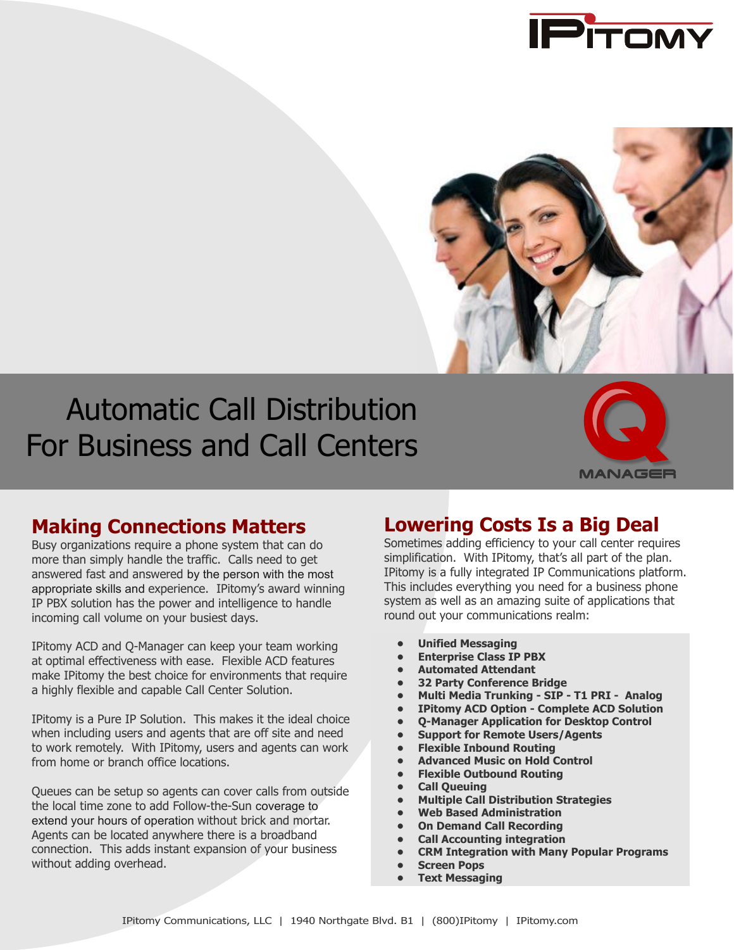



# Automatic Call Distribution For Business and Call Centers



### **Making Connections Matters**

Busy organizations require a phone system that can do more than simply handle the traffic. Calls need to get answered fast and answered by the person with the most appropriate skills and experience. IPitomy's award winning IP PBX solution has the power and intelligence to handle incoming call volume on your busiest days.

IPitomy ACD and Q-Manager can keep your team working at optimal effectiveness with ease. Flexible ACD features make IPitomy the best choice for environments that require a highly flexible and capable Call Center Solution.

IPitomy is a Pure IP Solution. This makes it the ideal choice when including users and agents that are off site and need to work remotely. With IPitomy, users and agents can work from home or branch office locations.

Queues can be setup so agents can cover calls from outside the local time zone to add Follow-the-Sun coverage to extend your hours of operation without brick and mortar. Agents can be located anywhere there is a broadband connection. This adds instant expansion of your business without adding overhead.

### **Lowering Costs Is a Big Deal**

Sometimes adding efficiency to your call center requires simplification. With IPitomy, that's all part of the plan. IPitomy is a fully integrated IP Communications platform. This includes everything you need for a business phone system as well as an amazing suite of applications that round out your communications realm:

- **• Unified Messaging**
- **• Enterprise Class IP PBX**
- **• Automated Attendant**
- **• 32 Party Conference Bridge**
- **• Multi Media Trunking SIP T1 PRI Analog**
- **• IPitomy ACD Option Complete ACD Solution**
- **• Q-Manager Application for Desktop Control**
- **• Support for Remote Users/Agents**
- **• Flexible Inbound Routing**
- **• Advanced Music on Hold Control**
- **• Flexible Outbound Routing**
- **• Call Queuing**
- **• Multiple Call Distribution Strategies**
- **• Web Based Administration**
- **• On Demand Call Recording**
- **• Call Accounting integration**
- **• CRM Integration with Many Popular Programs**
- **• Screen Pops**
- **• Text Messaging**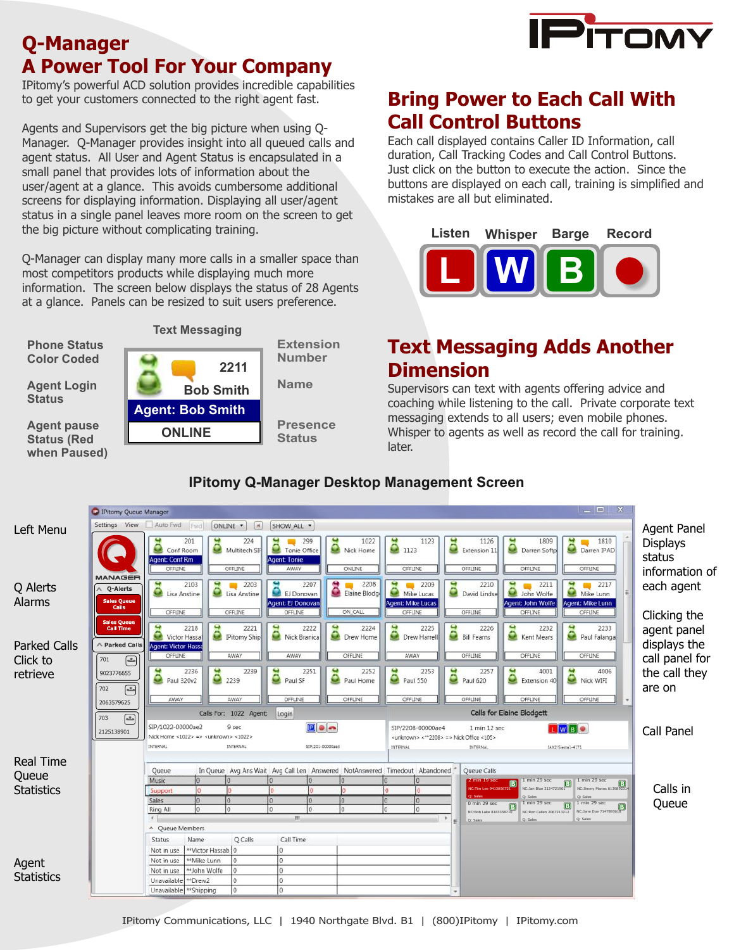

### **Q-Manager A Power Tool For Your Company**

IPitomy's powerful ACD solution provides incredible capabilities to get your customers connected to the right agent fast.

Agents and Supervisors get the big picture when using Q-Manager. Q-Manager provides insight into all queued calls and agent status. All User and Agent Status is encapsulated in a small panel that provides lots of information about the user/agent at a glance. This avoids cumbersome additional screens for displaying information. Displaying all user/agent status in a single panel leaves more room on the screen to get the big picture without complicating training.

Q-Manager can display many more calls in a smaller space than most competitors products while displaying much more information. The screen below displays the status of 28 Agents at a glance. Panels can be resized to suit users preference.



**Agent pause Status (Red when Paused)**

**Status**



### **Bring Power to Each Call With Call Control Buttons**

Each call displayed contains Caller ID Information, call duration, Call Tracking Codes and Call Control Buttons. Just click on the button to execute the action. Since the buttons are displayed on each call, training is simplified and mistakes are all but eliminated.



### **Text Messaging Adds Another Dimension**

Supervisors can text with agents offering advice and coaching while listening to the call. Private corporate text messaging extends to all users; even mobile phones. Whisper to agents as well as record the call for training. later.



#### **IPitomy Q-Manager Desktop Management Screen**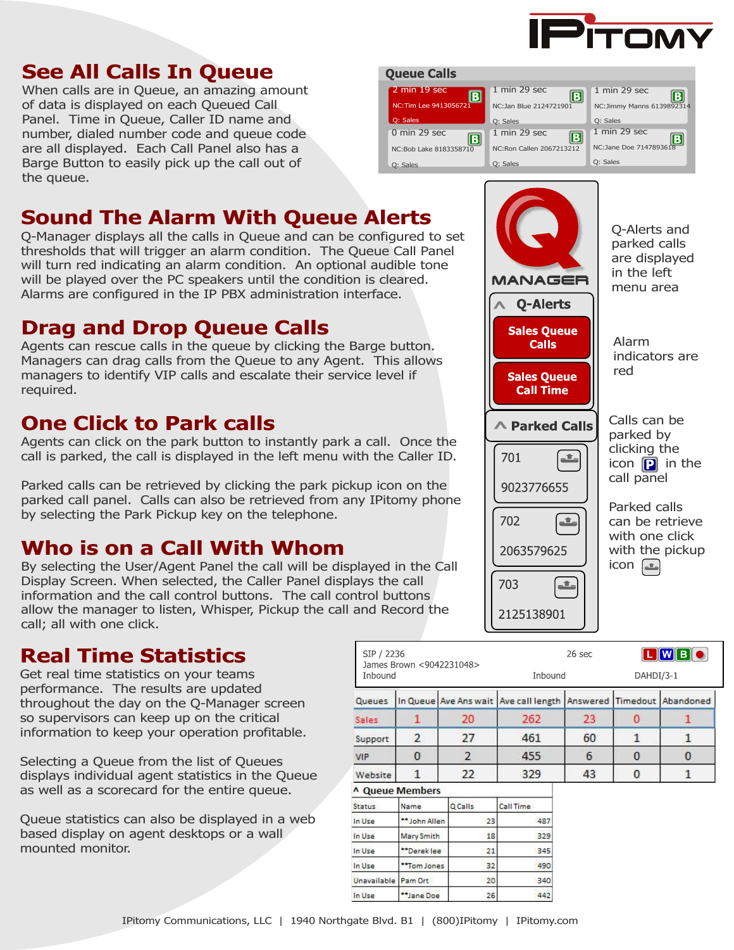

## **See All Calls In Queue**

When calls are in Queue, an amazing amount of data is displayed on each Queued Call Panel. Time in Queue, Caller ID name and number, dialed number code and queue code are all displayed. Each Call Panel also has a Barge Button to easily pick up the call out of the queue.

## **Sound The Alarm With Queue Alerts**

Q-Manager displays all the calls in Queue and can be configured to set thresholds that will trigger an alarm condition. The Queue Call Panel will turn red indicating an alarm condition. An optional audible tone will be played over the PC speakers until the condition is cleared. Alarms are configured in the IP PBX administration interface.

### **Drag and Drop Queue Calls**

Agents can rescue calls in the queue by clicking the Barge button. Managers can drag calls from the Queue to any Agent. This allows managers to identify VIP calls and escalate their service level if required.

### **One Click to Park calls**

Agents can click on the park button to instantly park a call. Once the call is parked, the call is displayed in the left menu with the Caller ID.

Parked calls can be retrieved by clicking the park pickup icon on the parked call panel. Calls can also be retrieved from any IPitomy phone by selecting the Park Pickup key on the telephone.

### **Who is on a Call With Whom**

By selecting the User/Agent Panel the call will be displayed in the Call Display Screen. When selected, the Caller Panel displays the call information and the call control buttons. The call control buttons allow the manager to listen, Whisper, Pickup the call and Record the call; all with one click.

### **Real Time Statistics**

Get real time statistics on your teams performance. The results are updated throughout the day on the Q-Manager screen so supervisors can keep up on the critical information to keep your operation profitable.

Selecting a Queue from the list of Queues displays individual agent statistics in the Queue as well as a scorecard for the entire queue.

Queue statistics can also be displayed in a web based display on agent desktops or a wall mounted monitor.

#### **Queue Calls**





 $\sim$   $\sim$   $\sim$   $\sim$   $\sim$   $\sim$   $\sim$ 

 $\mathbf{1}$ 

 $\overline{2}$ 

 $\mathbf{0}$ 

 $\mathbf{1}$ 

SIP / 2236

Inbound

Sales

VIP

Support

Website

| " Queue Members       |             |         |           |
|-----------------------|-------------|---------|-----------|
| Status                | Name        | Q Calls | Call Time |
| In Use                | *John Allen | 23      | 487       |
| In Use                | Mary Smith  | 18      | 329       |
| In Use                | *Derek lee  | 21      | 345       |
| In Use                | *Tom Jones  | 32      | 490       |
| Unavailable   Pam Ort |             | 20      | 340       |
| In Use                | *Jane Doe   | 26      | 442       |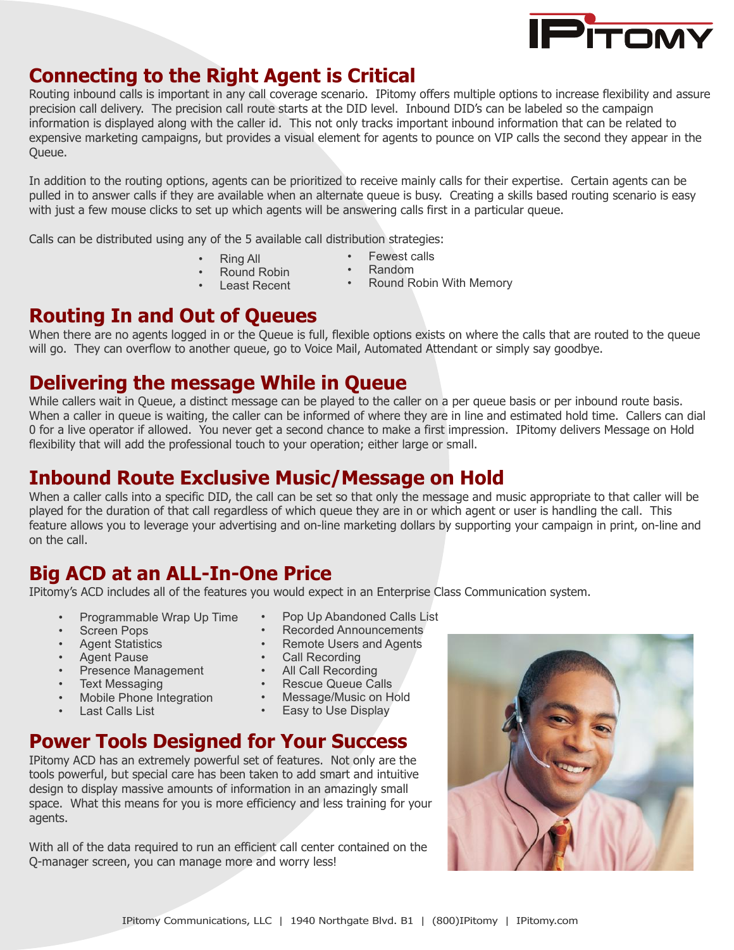

### **Connecting to the Right Agent is Critical**

Routing inbound calls is important in any call coverage scenario. IPitomy offers multiple options to increase flexibility and assure precision call delivery. The precision call route starts at the DID level. Inbound DID's can be labeled so the campaign information is displayed along with the caller id. This not only tracks important inbound information that can be related to expensive marketing campaigns, but provides a visual element for agents to pounce on VIP calls the second they appear in the Queue.

In addition to the routing options, agents can be prioritized to receive mainly calls for their expertise. Certain agents can be pulled in to answer calls if they are available when an alternate queue is busy. Creating a skills based routing scenario is easy with just a few mouse clicks to set up which agents will be answering calls first in a particular queue.

Calls can be distributed using any of the 5 available call distribution strategies:

- Ring All
- Fewest calls
- Round Robin
- Random
- Least Recent
- Round Robin With Memory
- **Routing In and Out of Queues**

When there are no agents logged in or the Queue is full, flexible options exists on where the calls that are routed to the queue will go. They can overflow to another queue, go to Voice Mail, Automated Attendant or simply say goodbye.

### **Delivering the message While in Queue**

While callers wait in Queue, a distinct message can be played to the caller on a per queue basis or per inbound route basis. When a caller in queue is waiting, the caller can be informed of where they are in line and estimated hold time. Callers can dial 0 for a live operator if allowed. You never get a second chance to make a first impression. IPitomy delivers Message on Hold flexibility that will add the professional touch to your operation; either large or small.

### **Inbound Route Exclusive Music/Message on Hold**

When a caller calls into a specific DID, the call can be set so that only the message and music appropriate to that caller will be played for the duration of that call regardless of which queue they are in or which agent or user is handling the call. This feature allows you to leverage your advertising and on-line marketing dollars by supporting your campaign in print, on-line and on the call.

### **Big ACD at an ALL-In-One Price**

IPitomy's ACD includes all of the features you would expect in an Enterprise Class Communication system.

- Programmable Wrap Up Time
- **Screen Pops**
- Agent Statistics
- Agent Pause
- Presence Management
- Text Messaging
- Mobile Phone Integration
- Last Calls List
- Pop Up Abandoned Calls List
- Recorded Announcements
- Remote Users and Agents
- Call Recording
- All Call Recording
- Rescue Queue Calls
- Message/Music on Hold
- Easy to Use Display

### **Power Tools Designed for Your Success**

IPitomy ACD has an extremely powerful set of features. Not only are the tools powerful, but special care has been taken to add smart and intuitive design to display massive amounts of information in an amazingly small space. What this means for you is more efficiency and less training for your agents.

With all of the data required to run an efficient call center contained on the Q-manager screen, you can manage more and worry less!